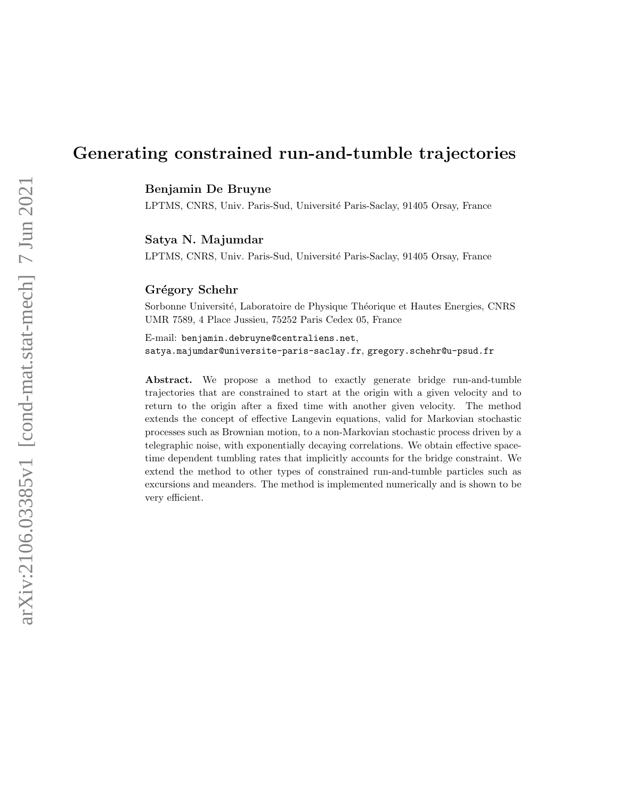# Generating constrained run-and-tumble trajectories

Benjamin De Bruyne

LPTMS, CNRS, Univ. Paris-Sud, Université Paris-Saclay, 91405 Orsay, France

#### Satya N. Majumdar

LPTMS, CNRS, Univ. Paris-Sud, Université Paris-Saclay, 91405 Orsay, France

## Grégory Schehr

Sorbonne Université, Laboratoire de Physique Théorique et Hautes Energies, CNRS UMR 7589, 4 Place Jussieu, 75252 Paris Cedex 05, France

E-mail: benjamin.debruyne@centraliens.net, satya.majumdar@universite-paris-saclay.fr, gregory.schehr@u-psud.fr

Abstract. We propose a method to exactly generate bridge run-and-tumble trajectories that are constrained to start at the origin with a given velocity and to return to the origin after a fixed time with another given velocity. The method extends the concept of effective Langevin equations, valid for Markovian stochastic processes such as Brownian motion, to a non-Markovian stochastic process driven by a telegraphic noise, with exponentially decaying correlations. We obtain effective spacetime dependent tumbling rates that implicitly accounts for the bridge constraint. We extend the method to other types of constrained run-and-tumble particles such as excursions and meanders. The method is implemented numerically and is shown to be very efficient.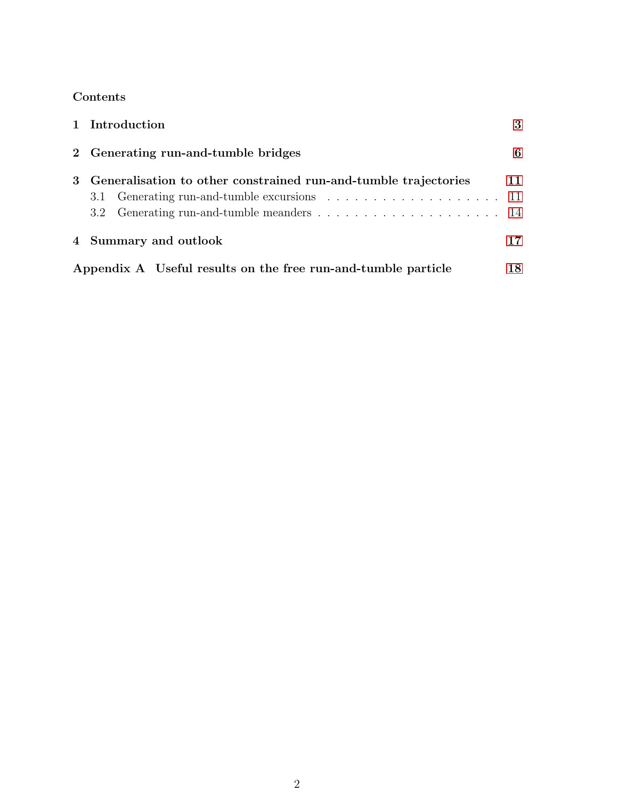## Contents

| 1 Introduction                                                                                                   | 3  |
|------------------------------------------------------------------------------------------------------------------|----|
| 2 Generating run-and-tumble bridges                                                                              | 6  |
| 3 Generalisation to other constrained run-and-tumble trajectories<br>3.1 Generating run-and-tumble excursions 11 | 11 |
| 4 Summary and outlook                                                                                            | 17 |
| Appendix A Useful results on the free run-and-tumble particle                                                    |    |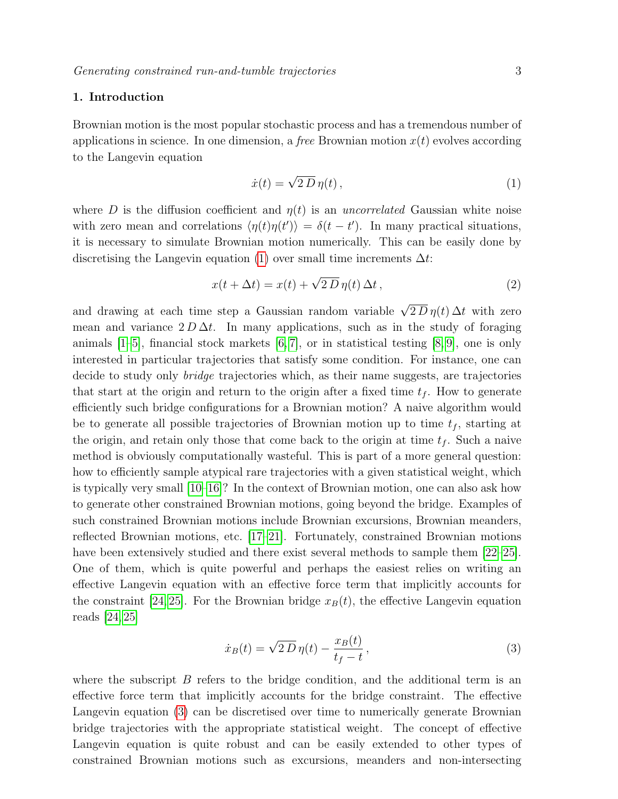## <span id="page-2-0"></span>1. Introduction

Brownian motion is the most popular stochastic process and has a tremendous number of applications in science. In one dimension, a free Brownian motion  $x(t)$  evolves according to the Langevin equation

<span id="page-2-1"></span>
$$
\dot{x}(t) = \sqrt{2 D} \eta(t) \,, \tag{1}
$$

where D is the diffusion coefficient and  $\eta(t)$  is an uncorrelated Gaussian white noise with zero mean and correlations  $\langle \eta(t)\eta(t') \rangle = \delta(t-t')$ . In many practical situations, it is necessary to simulate Brownian motion numerically. This can be easily done by discretising the Langevin equation [\(1\)](#page-2-1) over small time increments  $\Delta t$ :

$$
x(t + \Delta t) = x(t) + \sqrt{2 D} \eta(t) \Delta t, \qquad (2)
$$

and drawing at each time step a Gaussian random variable  $\sqrt{2 D} \eta(t) \Delta t$  with zero mean and variance  $2 D \Delta t$ . In many applications, such as in the study of foraging animals  $[1–5]$  $[1–5]$ , financial stock markets  $[6, 7]$  $[6, 7]$ , or in statistical testing  $[8, 9]$  $[8, 9]$ , one is only interested in particular trajectories that satisfy some condition. For instance, one can decide to study only bridge trajectories which, as their name suggests, are trajectories that start at the origin and return to the origin after a fixed time  $t_f$ . How to generate efficiently such bridge configurations for a Brownian motion? A naive algorithm would be to generate all possible trajectories of Brownian motion up to time  $t_f$ , starting at the origin, and retain only those that come back to the origin at time  $t_f$ . Such a naive method is obviously computationally wasteful. This is part of a more general question: how to efficiently sample atypical rare trajectories with a given statistical weight, which is typically very small [\[10–](#page-19-5)[16\]](#page-19-6)? In the context of Brownian motion, one can also ask how to generate other constrained Brownian motions, going beyond the bridge. Examples of such constrained Brownian motions include Brownian excursions, Brownian meanders, reflected Brownian motions, etc. [\[17–](#page-19-7)[21\]](#page-19-8). Fortunately, constrained Brownian motions have been extensively studied and there exist several methods to sample them [\[22–](#page-19-9)[25\]](#page-19-10). One of them, which is quite powerful and perhaps the easiest relies on writing an effective Langevin equation with an effective force term that implicitly accounts for the constraint [\[24,](#page-19-11) [25\]](#page-19-10). For the Brownian bridge  $x_B(t)$ , the effective Langevin equation reads [\[24,](#page-19-11) [25\]](#page-19-10)

<span id="page-2-2"></span>
$$
\dot{x}_B(t) = \sqrt{2 D} \eta(t) - \frac{x_B(t)}{t_f - t},\tag{3}
$$

where the subscript  $B$  refers to the bridge condition, and the additional term is an effective force term that implicitly accounts for the bridge constraint. The effective Langevin equation [\(3\)](#page-2-2) can be discretised over time to numerically generate Brownian bridge trajectories with the appropriate statistical weight. The concept of effective Langevin equation is quite robust and can be easily extended to other types of constrained Brownian motions such as excursions, meanders and non-intersecting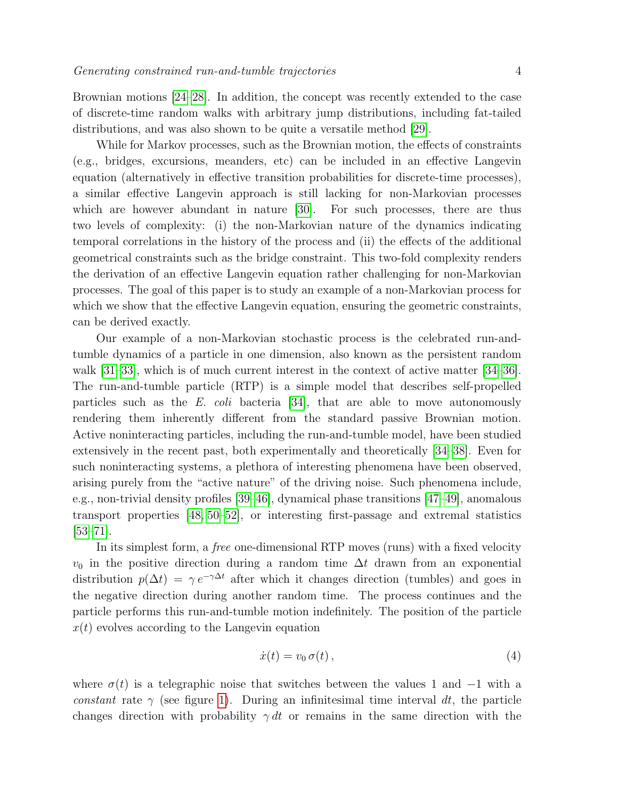Brownian motions [\[24–](#page-19-11)[28\]](#page-19-12). In addition, the concept was recently extended to the case of discrete-time random walks with arbitrary jump distributions, including fat-tailed distributions, and was also shown to be quite a versatile method [\[29\]](#page-19-13).

While for Markov processes, such as the Brownian motion, the effects of constraints (e.g., bridges, excursions, meanders, etc) can be included in an effective Langevin equation (alternatively in effective transition probabilities for discrete-time processes), a similar effective Langevin approach is still lacking for non-Markovian processes which are however abundant in nature [\[30\]](#page-19-14). For such processes, there are thus two levels of complexity: (i) the non-Markovian nature of the dynamics indicating temporal correlations in the history of the process and (ii) the effects of the additional geometrical constraints such as the bridge constraint. This two-fold complexity renders the derivation of an effective Langevin equation rather challenging for non-Markovian processes. The goal of this paper is to study an example of a non-Markovian process for which we show that the effective Langevin equation, ensuring the geometric constraints, can be derived exactly.

Our example of a non-Markovian stochastic process is the celebrated run-andtumble dynamics of a particle in one dimension, also known as the persistent random walk [\[31](#page-19-15)[–33\]](#page-19-16), which is of much current interest in the context of active matter [\[34–](#page-19-17)[36\]](#page-19-18). The run-and-tumble particle (RTP) is a simple model that describes self-propelled particles such as the E. coli bacteria [\[34\]](#page-19-17), that are able to move autonomously rendering them inherently different from the standard passive Brownian motion. Active noninteracting particles, including the run-and-tumble model, have been studied extensively in the recent past, both experimentally and theoretically [\[34–](#page-19-17)[38\]](#page-19-19). Even for such noninteracting systems, a plethora of interesting phenomena have been observed, arising purely from the "active nature" of the driving noise. Such phenomena include, e.g., non-trivial density profiles [\[39–](#page-19-20)[46\]](#page-19-21), dynamical phase transitions [\[47–](#page-19-22)[49\]](#page-20-0), anomalous transport properties [\[48,](#page-19-23) [50](#page-20-1)[–52\]](#page-20-2), or interesting first-passage and extremal statistics [\[53–](#page-20-3)[71\]](#page-20-4).

In its simplest form, a free one-dimensional RTP moves (runs) with a fixed velocity  $v_0$  in the positive direction during a random time  $\Delta t$  drawn from an exponential distribution  $p(\Delta t) = \gamma e^{-\gamma \Delta t}$  after which it changes direction (tumbles) and goes in the negative direction during another random time. The process continues and the particle performs this run-and-tumble motion indefinitely. The position of the particle  $x(t)$  evolves according to the Langevin equation

<span id="page-3-0"></span>
$$
\dot{x}(t) = v_0 \,\sigma(t) \,, \tag{4}
$$

where  $\sigma(t)$  is a telegraphic noise that switches between the values 1 and  $-1$  with a constant rate  $\gamma$  (see figure [1\)](#page-4-0). During an infinitesimal time interval dt, the particle changes direction with probability  $\gamma dt$  or remains in the same direction with the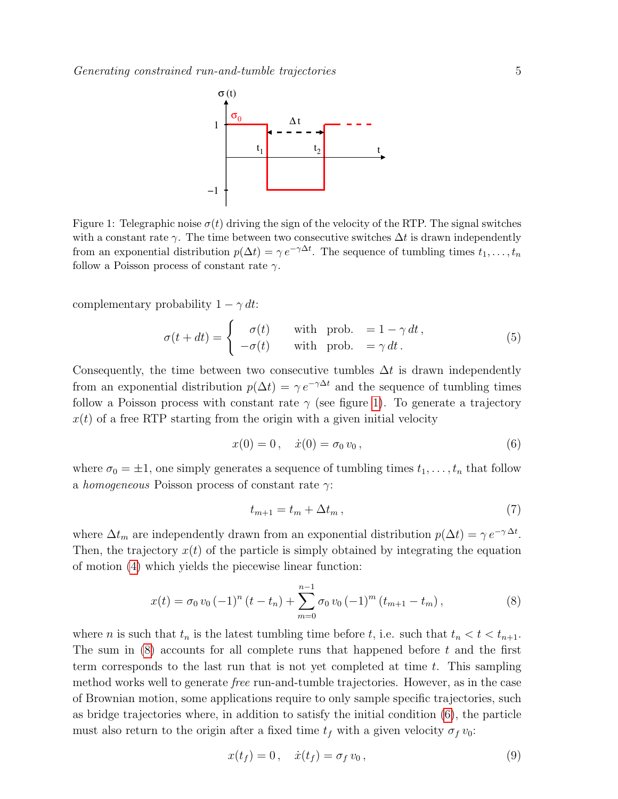<span id="page-4-0"></span>

Figure 1: Telegraphic noise  $\sigma(t)$  driving the sign of the velocity of the RTP. The signal switches with a constant rate  $\gamma$ . The time between two consecutive switches  $\Delta t$  is drawn independently from an exponential distribution  $p(\Delta t) = \gamma e^{-\gamma \Delta t}$ . The sequence of tumbling times  $t_1, \ldots, t_n$ follow a Poisson process of constant rate  $\gamma$ .

complementary probability  $1 - \gamma dt$ :

$$
\sigma(t+dt) = \begin{cases}\n\sigma(t) & \text{with prob. } = 1 - \gamma dt, \\
-\sigma(t) & \text{with prob. } = \gamma dt.\n\end{cases}
$$
\n(5)

Consequently, the time between two consecutive tumbles  $\Delta t$  is drawn independently from an exponential distribution  $p(\Delta t) = \gamma e^{-\gamma \Delta t}$  and the sequence of tumbling times follow a Poisson process with constant rate  $\gamma$  (see figure [1\)](#page-4-0). To generate a trajectory  $x(t)$  of a free RTP starting from the origin with a given initial velocity

<span id="page-4-4"></span>
$$
x(0) = 0, \quad \dot{x}(0) = \sigma_0 v_0, \tag{6}
$$

where  $\sigma_0 = \pm 1$ , one simply generates a sequence of tumbling times  $t_1, \ldots, t_n$  that follow a homogeneous Poisson process of constant rate  $\gamma$ :

<span id="page-4-2"></span><span id="page-4-1"></span>
$$
t_{m+1} = t_m + \Delta t_m, \qquad (7)
$$

where  $\Delta t_m$  are independently drawn from an exponential distribution  $p(\Delta t) = \gamma e^{-\gamma \Delta t}$ . Then, the trajectory  $x(t)$  of the particle is simply obtained by integrating the equation of motion [\(4\)](#page-3-0) which yields the piecewise linear function:

$$
x(t) = \sigma_0 v_0 \left(-1\right)^n (t - t_n) + \sum_{m=0}^{n-1} \sigma_0 v_0 \left(-1\right)^m (t_{m+1} - t_m), \qquad (8)
$$

where *n* is such that  $t_n$  is the latest tumbling time before *t*, i.e. such that  $t_n < t < t_{n+1}$ . The sum in  $(8)$  accounts for all complete runs that happened before t and the first term corresponds to the last run that is not yet completed at time  $t$ . This sampling method works well to generate free run-and-tumble trajectories. However, as in the case of Brownian motion, some applications require to only sample specific trajectories, such as bridge trajectories where, in addition to satisfy the initial condition [\(6\)](#page-4-2), the particle must also return to the origin after a fixed time  $t_f$  with a given velocity  $\sigma_f v_0$ :

<span id="page-4-3"></span>
$$
x(t_f) = 0, \quad \dot{x}(t_f) = \sigma_f v_0, \tag{9}
$$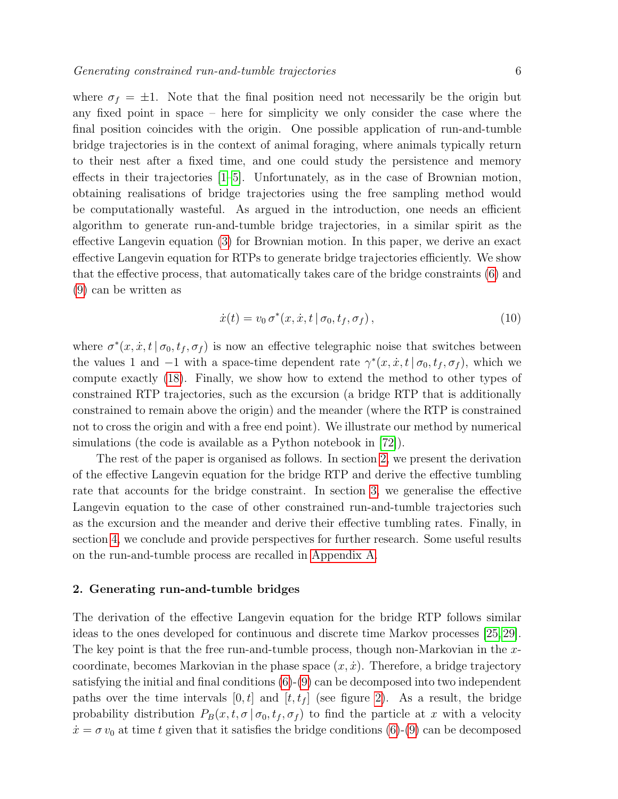where  $\sigma_f = \pm 1$ . Note that the final position need not necessarily be the origin but any fixed point in space – here for simplicity we only consider the case where the final position coincides with the origin. One possible application of run-and-tumble bridge trajectories is in the context of animal foraging, where animals typically return to their nest after a fixed time, and one could study the persistence and memory effects in their trajectories [\[1–](#page-18-0)[5\]](#page-19-0). Unfortunately, as in the case of Brownian motion, obtaining realisations of bridge trajectories using the free sampling method would be computationally wasteful. As argued in the introduction, one needs an efficient algorithm to generate run-and-tumble bridge trajectories, in a similar spirit as the effective Langevin equation [\(3\)](#page-2-2) for Brownian motion. In this paper, we derive an exact effective Langevin equation for RTPs to generate bridge trajectories efficiently. We show that the effective process, that automatically takes care of the bridge constraints [\(6\)](#page-4-2) and [\(9\)](#page-4-3) can be written as

<span id="page-5-1"></span>
$$
\dot{x}(t) = v_0 \sigma^*(x, \dot{x}, t \mid \sigma_0, t_f, \sigma_f), \qquad (10)
$$

where  $\sigma^*(x, \dot{x}, t | \sigma_0, t_f, \sigma_f)$  is now an effective telegraphic noise that switches between the values 1 and  $-1$  with a space-time dependent rate  $\gamma^*(x, \dot{x}, t | \sigma_0, t_f, \sigma_f)$ , which we compute exactly [\(18\)](#page-8-0). Finally, we show how to extend the method to other types of constrained RTP trajectories, such as the excursion (a bridge RTP that is additionally constrained to remain above the origin) and the meander (where the RTP is constrained not to cross the origin and with a free end point). We illustrate our method by numerical simulations (the code is available as a Python notebook in [\[72\]](#page-20-5)).

The rest of the paper is organised as follows. In section [2,](#page-5-0) we present the derivation of the effective Langevin equation for the bridge RTP and derive the effective tumbling rate that accounts for the bridge constraint. In section [3,](#page-10-0) we generalise the effective Langevin equation to the case of other constrained run-and-tumble trajectories such as the excursion and the meander and derive their effective tumbling rates. Finally, in section [4,](#page-16-0) we conclude and provide perspectives for further research. Some useful results on the run-and-tumble process are recalled in [Appendix A.](#page-17-0)

## <span id="page-5-0"></span>2. Generating run-and-tumble bridges

The derivation of the effective Langevin equation for the bridge RTP follows similar ideas to the ones developed for continuous and discrete time Markov processes [\[25,](#page-19-10) [29\]](#page-19-13). The key point is that the free run-and-tumble process, though non-Markovian in the xcoordinate, becomes Markovian in the phase space  $(x, \dot{x})$ . Therefore, a bridge trajectory satisfying the initial and final conditions [\(6\)](#page-4-2)-[\(9\)](#page-4-3) can be decomposed into two independent paths over the time intervals  $[0, t]$  and  $[t, t_f]$  (see figure [2\)](#page-6-0). As a result, the bridge probability distribution  $P_B(x, t, \sigma | \sigma_0, t_f, \sigma_f)$  to find the particle at x with a velocity  $\dot{x} = \sigma v_0$  at time t given that it satisfies the bridge conditions [\(6\)](#page-4-2)-[\(9\)](#page-4-3) can be decomposed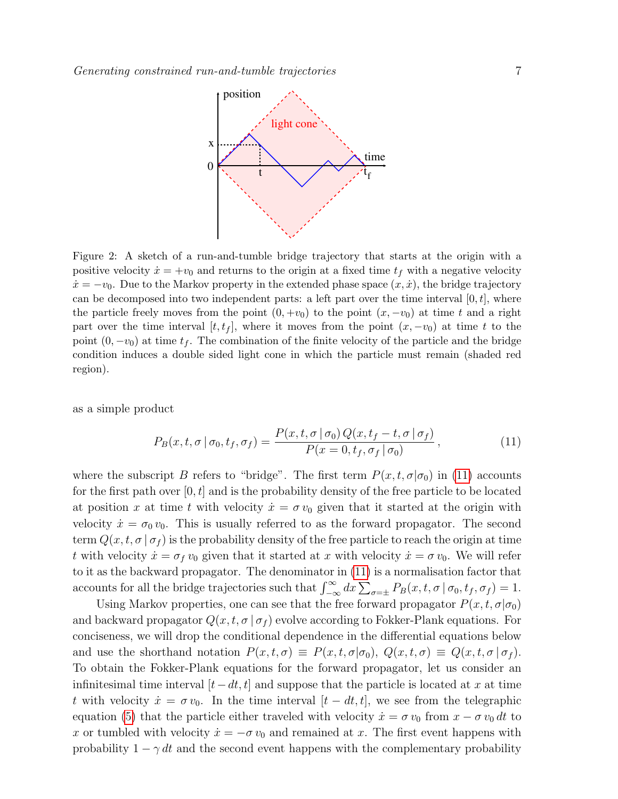<span id="page-6-0"></span>

Figure 2: A sketch of a run-and-tumble bridge trajectory that starts at the origin with a positive velocity  $\dot{x} = +v_0$  and returns to the origin at a fixed time  $t_f$  with a negative velocity  $\dot{x} = -v_0$ . Due to the Markov property in the extended phase space  $(x, \dot{x})$ , the bridge trajectory can be decomposed into two independent parts: a left part over the time interval  $[0, t]$ , where the particle freely moves from the point  $(0, +v_0)$  to the point  $(x, -v_0)$  at time t and a right part over the time interval  $[t, t_f]$ , where it moves from the point  $(x, -v_0)$  at time t to the point  $(0, -v_0)$  at time  $t_f$ . The combination of the finite velocity of the particle and the bridge condition induces a double sided light cone in which the particle must remain (shaded red region).

as a simple product

<span id="page-6-1"></span>
$$
P_B(x, t, \sigma \mid \sigma_0, t_f, \sigma_f) = \frac{P(x, t, \sigma \mid \sigma_0) Q(x, t_f - t, \sigma \mid \sigma_f)}{P(x = 0, t_f, \sigma_f \mid \sigma_0)},
$$
\n(11)

where the subscript B refers to "bridge". The first term  $P(x, t, \sigma | \sigma_0)$  in [\(11\)](#page-6-1) accounts for the first path over  $[0, t]$  and is the probability density of the free particle to be located at position x at time t with velocity  $\dot{x} = \sigma v_0$  given that it started at the origin with velocity  $\dot{x} = \sigma_0 v_0$ . This is usually referred to as the forward propagator. The second term  $Q(x, t, \sigma | \sigma_f)$  is the probability density of the free particle to reach the origin at time t with velocity  $\dot{x} = \sigma_f v_0$  given that it started at x with velocity  $\dot{x} = \sigma v_0$ . We will refer to it as the backward propagator. The denominator in [\(11\)](#page-6-1) is a normalisation factor that accounts for all the bridge trajectories such that  $\int_{-\infty}^{\infty} dx \sum_{\sigma=\pm} P_B(x, t, \sigma | \sigma_0, t_f, \sigma_f) = 1.$ 

Using Markov properties, one can see that the free forward propagator  $P(x, t, \sigma | \sigma_0)$ and backward propagator  $Q(x, t, \sigma | \sigma_f)$  evolve according to Fokker-Plank equations. For conciseness, we will drop the conditional dependence in the differential equations below and use the shorthand notation  $P(x, t, \sigma) \equiv P(x, t, \sigma | \sigma_0)$ ,  $Q(x, t, \sigma) \equiv Q(x, t, \sigma | \sigma_t)$ . To obtain the Fokker-Plank equations for the forward propagator, let us consider an infinitesimal time interval  $[t-dt, t]$  and suppose that the particle is located at x at time t with velocity  $\dot{x} = \sigma v_0$ . In the time interval  $[t - dt, t]$ , we see from the telegraphic equation [\(5\)](#page-4-4) that the particle either traveled with velocity  $\dot{x} = \sigma v_0$  from  $x - \sigma v_0 dt$  to x or tumbled with velocity  $\dot{x} = -\sigma v_0$  and remained at x. The first event happens with probability  $1 - \gamma dt$  and the second event happens with the complementary probability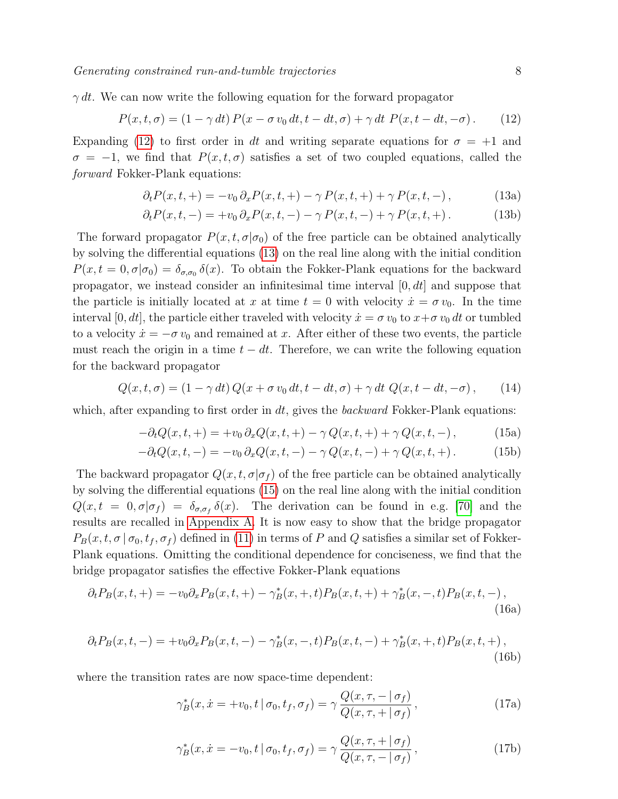$\gamma dt$ . We can now write the following equation for the forward propagator

$$
P(x,t,\sigma) = (1 - \gamma dt) P(x - \sigma v_0 dt, t - dt, \sigma) + \gamma dt P(x, t - dt, -\sigma). \tag{12}
$$

Expanding [\(12\)](#page-7-0) to first order in dt and writing separate equations for  $\sigma = +1$  and  $\sigma = -1$ , we find that  $P(x, t, \sigma)$  satisfies a set of two coupled equations, called the forward Fokker-Plank equations:

<span id="page-7-0"></span>
$$
\partial_t P(x, t, +) = -v_0 \, \partial_x P(x, t, +) - \gamma \, P(x, t, +) + \gamma \, P(x, t, -), \tag{13a}
$$

<span id="page-7-1"></span>
$$
\partial_t P(x, t, -) = +v_0 \, \partial_x P(x, t, -) - \gamma \, P(x, t, -) + \gamma \, P(x, t, +). \tag{13b}
$$

The forward propagator  $P(x, t, \sigma | \sigma_0)$  of the free particle can be obtained analytically by solving the differential equations [\(13\)](#page-7-1) on the real line along with the initial condition  $P(x,t=0,\sigma|\sigma_0) = \delta_{\sigma,\sigma_0} \delta(x)$ . To obtain the Fokker-Plank equations for the backward propagator, we instead consider an infinitesimal time interval  $[0, dt]$  and suppose that the particle is initially located at x at time  $t = 0$  with velocity  $\dot{x} = \sigma v_0$ . In the time interval [0, dt], the particle either traveled with velocity  $\dot{x} = \sigma v_0$  to  $x + \sigma v_0 dt$  or tumbled to a velocity  $\dot{x} = -\sigma v_0$  and remained at x. After either of these two events, the particle must reach the origin in a time  $t - dt$ . Therefore, we can write the following equation for the backward propagator

$$
Q(x,t,\sigma) = (1 - \gamma dt) Q(x + \sigma v_0 dt, t - dt, \sigma) + \gamma dt Q(x, t - dt, -\sigma), \qquad (14)
$$

which, after expanding to first order in  $dt$ , gives the *backward* Fokker-Plank equations:

<span id="page-7-4"></span><span id="page-7-2"></span>
$$
-\partial_t Q(x, t, +) = +v_0 \partial_x Q(x, t, +) - \gamma Q(x, t, +) + \gamma Q(x, t, -), \qquad (15a)
$$

$$
-\partial_t Q(x, t, -) = -v_0 \, \partial_x Q(x, t, -) - \gamma \, Q(x, t, -) + \gamma \, Q(x, t, +) \,. \tag{15b}
$$

The backward propagator  $Q(x, t, \sigma | \sigma_f)$  of the free particle can be obtained analytically by solving the differential equations [\(15\)](#page-7-2) on the real line along with the initial condition  $Q(x,t = 0, \sigma | \sigma_f) = \delta_{\sigma,\sigma_f} \delta(x)$ . The derivation can be found in e.g. [\[70\]](#page-20-6) and the results are recalled in [Appendix A.](#page-17-0) It is now easy to show that the bridge propagator  $P_B(x, t, \sigma | \sigma_0, t_f, \sigma_f)$  defined in [\(11\)](#page-6-1) in terms of P and Q satisfies a similar set of Fokker-Plank equations. Omitting the conditional dependence for conciseness, we find that the bridge propagator satisfies the effective Fokker-Plank equations

$$
\partial_t P_B(x, t, +) = -v_0 \partial_x P_B(x, t, +) - \gamma_B^*(x, +, t) P_B(x, t, +) + \gamma_B^*(x, -, t) P_B(x, t, -),
$$
\n(16a)

$$
\partial_t P_B(x, t, -) = +v_0 \partial_x P_B(x, t, -) - \gamma_B^*(x, -, t) P_B(x, t, -) + \gamma_B^*(x, +, t) P_B(x, t, +),
$$
\n(16b)

where the transition rates are now space-time dependent:

<span id="page-7-3"></span>
$$
\gamma_B^*(x, \dot{x} = +v_0, t \mid \sigma_0, t_f, \sigma_f) = \gamma \frac{Q(x, \tau, - \mid \sigma_f)}{Q(x, \tau, + \mid \sigma_f)},
$$
\n(17a)

<span id="page-7-5"></span>
$$
\gamma_B^*(x, \dot{x} = -v_0, t \mid \sigma_0, t_f, \sigma_f) = \gamma \frac{Q(x, \tau, + \mid \sigma_f)}{Q(x, \tau, - \mid \sigma_f)},
$$
\n(17b)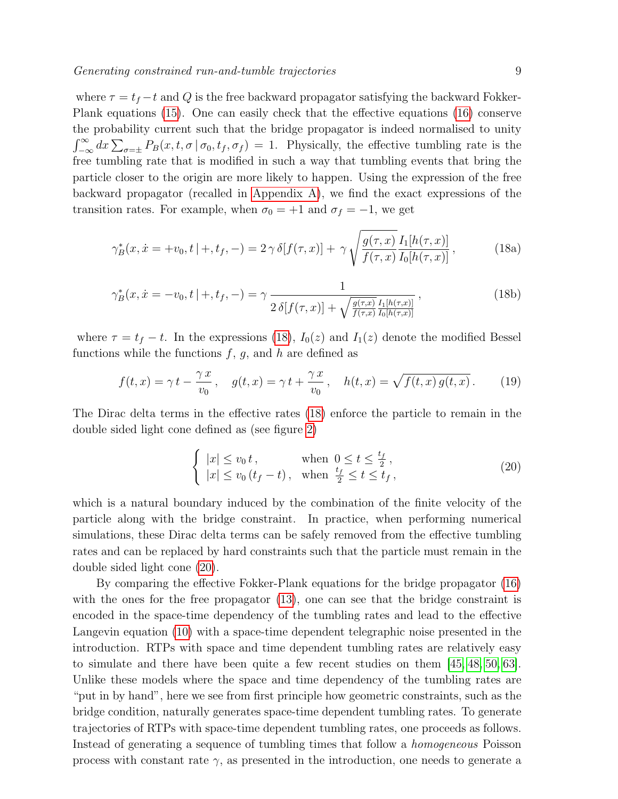where  $\tau = t_f - t$  and Q is the free backward propagator satisfying the backward Fokker-Plank equations [\(15\)](#page-7-2). One can easily check that the effective equations [\(16\)](#page-7-3) conserve the probability current such that the bridge propagator is indeed normalised to unity  $\int_{-\infty}^{\infty} dx \sum_{\sigma=\pm} P_B(x, t, \sigma | \sigma_0, t_f, \sigma_f) = 1.$  Physically, the effective tumbling rate is the free tumbling rate that is modified in such a way that tumbling events that bring the particle closer to the origin are more likely to happen. Using the expression of the free backward propagator (recalled in [Appendix A\)](#page-17-0), we find the exact expressions of the transition rates. For example, when  $\sigma_0 = +1$  and  $\sigma_f = -1$ , we get

$$
\gamma_B^*(x, \dot{x} = +v_0, t \mid +, t_f, -) = 2 \gamma \delta[f(\tau, x)] + \gamma \sqrt{\frac{g(\tau, x)}{f(\tau, x)}} \frac{I_1[h(\tau, x)]}{I_0[h(\tau, x)]},
$$
(18a)

$$
\gamma_B^*(x, \dot{x} = -v_0, t \mid +, t_f, -) = \gamma \frac{1}{2 \delta[f(\tau, x)] + \sqrt{\frac{g(\tau, x)}{f(\tau, x)}} \frac{I_1[h(\tau, x)]}{I_0[h(\tau, x)]}},
$$
\n(18b)

where  $\tau = t_f - t$ . In the expressions [\(18\)](#page-8-0),  $I_0(z)$  and  $I_1(z)$  denote the modified Bessel functions while the functions  $f, g$ , and h are defined as

$$
f(t,x) = \gamma t - \frac{\gamma x}{v_0}, \quad g(t,x) = \gamma t + \frac{\gamma x}{v_0}, \quad h(t,x) = \sqrt{f(t,x)g(t,x)}.
$$
 (19)

The Dirac delta terms in the effective rates [\(18\)](#page-8-0) enforce the particle to remain in the double sided light cone defined as (see figure [2\)](#page-6-0)

<span id="page-8-2"></span><span id="page-8-1"></span><span id="page-8-0"></span>
$$
\begin{cases} |x| \le v_0 t, & \text{when } 0 \le t \le \frac{t_f}{2}, \\ |x| \le v_0 (t_f - t), & \text{when } \frac{t_f}{2} \le t \le t_f, \end{cases}
$$
 (20)

which is a natural boundary induced by the combination of the finite velocity of the particle along with the bridge constraint. In practice, when performing numerical simulations, these Dirac delta terms can be safely removed from the effective tumbling rates and can be replaced by hard constraints such that the particle must remain in the double sided light cone [\(20\)](#page-8-1).

By comparing the effective Fokker-Plank equations for the bridge propagator [\(16\)](#page-7-3) with the ones for the free propagator [\(13\)](#page-7-1), one can see that the bridge constraint is encoded in the space-time dependency of the tumbling rates and lead to the effective Langevin equation [\(10\)](#page-5-1) with a space-time dependent telegraphic noise presented in the introduction. RTPs with space and time dependent tumbling rates are relatively easy to simulate and there have been quite a few recent studies on them [\[45,](#page-19-24) [48,](#page-19-23) [50,](#page-20-1) [63\]](#page-20-7). Unlike these models where the space and time dependency of the tumbling rates are "put in by hand", here we see from first principle how geometric constraints, such as the bridge condition, naturally generates space-time dependent tumbling rates. To generate trajectories of RTPs with space-time dependent tumbling rates, one proceeds as follows. Instead of generating a sequence of tumbling times that follow a homogeneous Poisson process with constant rate  $\gamma$ , as presented in the introduction, one needs to generate a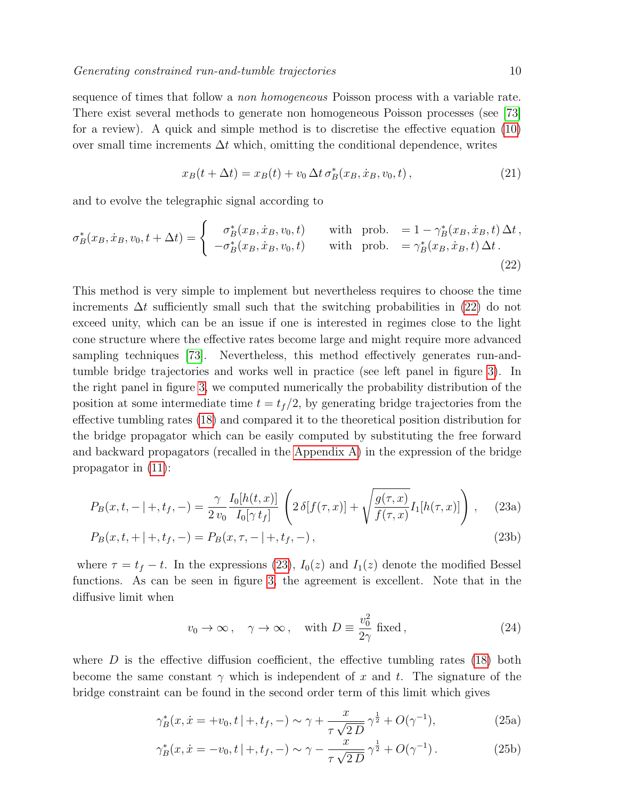sequence of times that follow a non homogeneous Poisson process with a variable rate. There exist several methods to generate non homogeneous Poisson processes (see [\[73\]](#page-20-8) for a review). A quick and simple method is to discretise the effective equation [\(10\)](#page-5-1) over small time increments  $\Delta t$  which, omitting the conditional dependence, writes

<span id="page-9-0"></span>
$$
x_B(t + \Delta t) = x_B(t) + v_0 \, \Delta t \, \sigma_B^*(x_B, \dot{x}_B, v_0, t) \,, \tag{21}
$$

and to evolve the telegraphic signal according to

$$
\sigma_B^*(x_B, \dot{x}_B, v_0, t + \Delta t) = \begin{cases}\n\sigma_B^*(x_B, \dot{x}_B, v_0, t) & \text{with prob. } = 1 - \gamma_B^*(x_B, \dot{x}_B, t) \Delta t, \\
-\sigma_B^*(x_B, \dot{x}_B, v_0, t) & \text{with prob. } = \gamma_B^*(x_B, \dot{x}_B, t) \Delta t.\n\end{cases}
$$
\n(22)

This method is very simple to implement but nevertheless requires to choose the time increments  $\Delta t$  sufficiently small such that the switching probabilities in [\(22\)](#page-9-0) do not exceed unity, which can be an issue if one is interested in regimes close to the light cone structure where the effective rates become large and might require more advanced sampling techniques [\[73\]](#page-20-8). Nevertheless, this method effectively generates run-andtumble bridge trajectories and works well in practice (see left panel in figure [3\)](#page-10-2). In the right panel in figure [3,](#page-10-2) we computed numerically the probability distribution of the position at some intermediate time  $t = t_f/2$ , by generating bridge trajectories from the effective tumbling rates [\(18\)](#page-8-0) and compared it to the theoretical position distribution for the bridge propagator which can be easily computed by substituting the free forward and backward propagators (recalled in the [Appendix A\)](#page-17-0) in the expression of the bridge propagator in [\(11\)](#page-6-1):

$$
P_B(x,t,-|+,t_f,-) = \frac{\gamma}{2 v_0} \frac{I_0[h(t,x)]}{I_0[\gamma t_f]} \left( 2 \delta[f(\tau,x)] + \sqrt{\frac{g(\tau,x)}{f(\tau,x)}} I_1[h(\tau,x)] \right), \quad (23a)
$$

$$
P_B(x, t, + |+, t_f, -) = P_B(x, \tau, - |+, t_f, -), \qquad (23b)
$$

where  $\tau = t_f - t$ . In the expressions [\(23\)](#page-9-1),  $I_0(z)$  and  $I_1(z)$  denote the modified Bessel functions. As can be seen in figure [3,](#page-10-2) the agreement is excellent. Note that in the diffusive limit when

<span id="page-9-2"></span><span id="page-9-1"></span>
$$
v_0 \to \infty
$$
,  $\gamma \to \infty$ , with  $D \equiv \frac{v_0^2}{2\gamma}$  fixed, (24)

where  $D$  is the effective diffusion coefficient, the effective tumbling rates [\(18\)](#page-8-0) both become the same constant  $\gamma$  which is independent of x and t. The signature of the bridge constraint can be found in the second order term of this limit which gives

$$
\gamma_B^*(x, \dot{x} = +v_0, t \mid +, t_f, -) \sim \gamma + \frac{x}{\tau \sqrt{2D}} \gamma^{\frac{1}{2}} + O(\gamma^{-1}), \tag{25a}
$$

$$
\gamma_B^*(x, \dot{x} = -v_0, t \mid +, t_f, -) \sim \gamma - \frac{x}{\tau \sqrt{2D}} \gamma^{\frac{1}{2}} + O(\gamma^{-1}). \tag{25b}
$$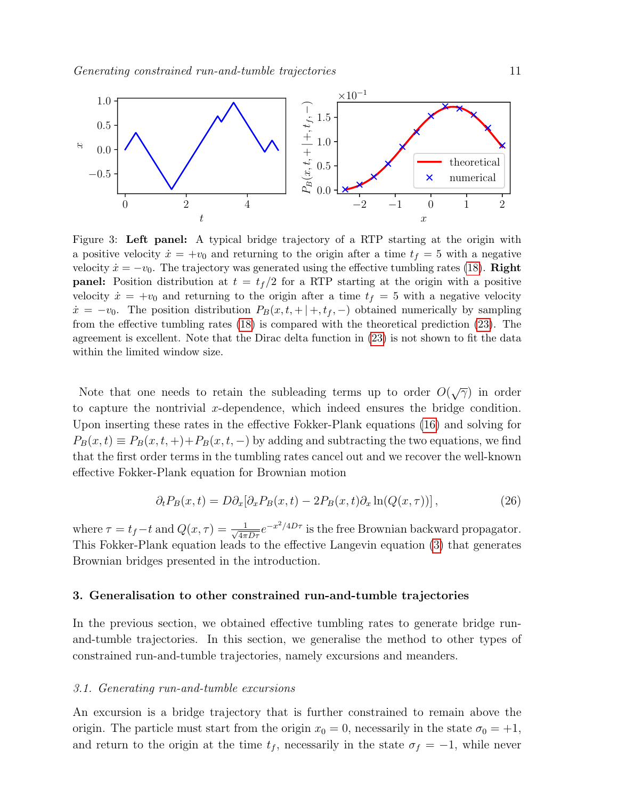<span id="page-10-2"></span>

Figure 3: Left panel: A typical bridge trajectory of a RTP starting at the origin with a positive velocity  $\dot{x} = +v_0$  and returning to the origin after a time  $t_f = 5$  with a negative velocity  $\dot{x} = -v_0$ . The trajectory was generated using the effective tumbling rates [\(18\)](#page-8-0). **Right panel:** Position distribution at  $t = t_f/2$  for a RTP starting at the origin with a positive velocity  $\dot{x} = +v_0$  and returning to the origin after a time  $t_f = 5$  with a negative velocity  $\dot{x} = -v_0$ . The position distribution  $P_B(x, t, + |+, t_f, -)$  obtained numerically by sampling from the effective tumbling rates [\(18\)](#page-8-0) is compared with the theoretical prediction [\(23\)](#page-9-1). The agreement is excellent. Note that the Dirac delta function in [\(23\)](#page-9-1) is not shown to fit the data within the limited window size.

Note that one needs to retain the subleading terms up to order  $O(\sqrt{\gamma})$  in order to capture the nontrivial x-dependence, which indeed ensures the bridge condition. Upon inserting these rates in the effective Fokker-Plank equations [\(16\)](#page-7-3) and solving for  $P_B(x,t) \equiv P_B(x,t,+)+P_B(x,t,-)$  by adding and subtracting the two equations, we find that the first order terms in the tumbling rates cancel out and we recover the well-known effective Fokker-Plank equation for Brownian motion

$$
\partial_t P_B(x,t) = D \partial_x [\partial_x P_B(x,t) - 2P_B(x,t) \partial_x \ln(Q(x,\tau))], \qquad (26)
$$

where  $\tau = t_f - t$  and  $Q(x, \tau) = \frac{1}{\sqrt{4\pi D\tau}} e^{-x^2/4D\tau}$  is the free Brownian backward propagator. This Fokker-Plank equation leads to the effective Langevin equation [\(3\)](#page-2-2) that generates Brownian bridges presented in the introduction.

#### <span id="page-10-0"></span>3. Generalisation to other constrained run-and-tumble trajectories

In the previous section, we obtained effective tumbling rates to generate bridge runand-tumble trajectories. In this section, we generalise the method to other types of constrained run-and-tumble trajectories, namely excursions and meanders.

#### <span id="page-10-1"></span>3.1. Generating run-and-tumble excursions

An excursion is a bridge trajectory that is further constrained to remain above the origin. The particle must start from the origin  $x_0 = 0$ , necessarily in the state  $\sigma_0 = +1$ , and return to the origin at the time  $t_f$ , necessarily in the state  $\sigma_f = -1$ , while never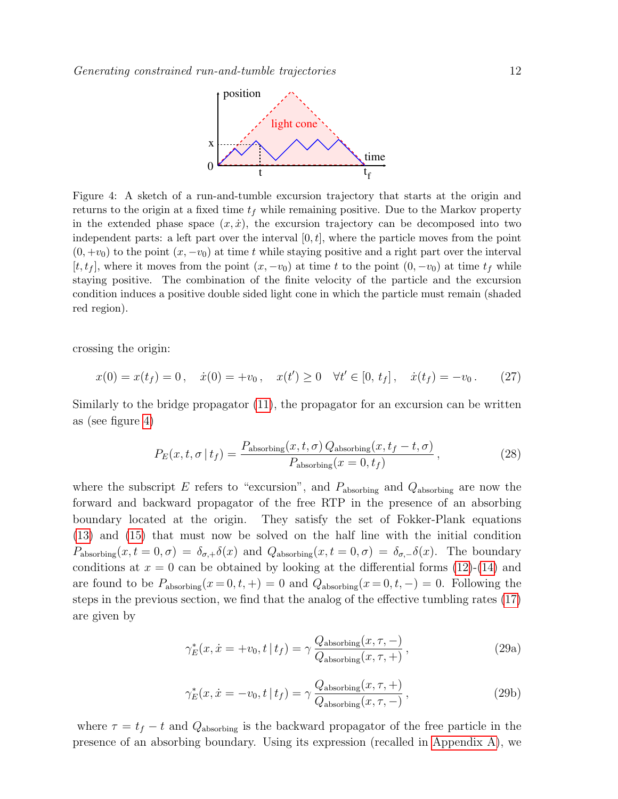

<span id="page-11-0"></span>Figure 4: A sketch of a run-and-tumble excursion trajectory that starts at the origin and returns to the origin at a fixed time  $t_f$  while remaining positive. Due to the Markov property in the extended phase space  $(x, \dot{x})$ , the excursion trajectory can be decomposed into two independent parts: a left part over the interval  $[0, t]$ , where the particle moves from the point  $(0, +v_0)$  to the point  $(x, -v_0)$  at time t while staying positive and a right part over the interval  $[t, t_f]$ , where it moves from the point  $(x, -v_0)$  at time t to the point  $(0, -v_0)$  at time  $t_f$  while staying positive. The combination of the finite velocity of the particle and the excursion condition induces a positive double sided light cone in which the particle must remain (shaded red region).

crossing the origin:

$$
x(0) = x(t_f) = 0, \quad \dot{x}(0) = +v_0, \quad x(t') \ge 0 \quad \forall t' \in [0, t_f], \quad \dot{x}(t_f) = -v_0. \tag{27}
$$

Similarly to the bridge propagator [\(11\)](#page-6-1), the propagator for an excursion can be written as (see figure [4\)](#page-11-0)

<span id="page-11-1"></span>
$$
P_E(x, t, \sigma | t_f) = \frac{P_{\text{absorbing}}(x, t, \sigma) Q_{\text{absorbing}}(x, t_f - t, \sigma)}{P_{\text{absorbing}}(x = 0, t_f)},
$$
\n(28)

where the subscript E refers to "excursion", and  $P_{\text{absorbing}}$  and  $Q_{\text{absorbing}}$  are now the forward and backward propagator of the free RTP in the presence of an absorbing boundary located at the origin. They satisfy the set of Fokker-Plank equations [\(13\)](#page-7-1) and [\(15\)](#page-7-2) that must now be solved on the half line with the initial condition  $P_{\text{absorbing}}(x, t=0, \sigma) = \delta_{\sigma,+} \delta(x)$  and  $Q_{\text{absorbing}}(x, t=0, \sigma) = \delta_{\sigma,-} \delta(x)$ . The boundary conditions at  $x = 0$  can be obtained by looking at the differential forms [\(12\)](#page-7-0)-[\(14\)](#page-7-4) and are found to be  $P_{\text{absorbing}}(x=0,t,+) = 0$  and  $Q_{\text{absorbing}}(x=0,t,-) = 0$ . Following the steps in the previous section, we find that the analog of the effective tumbling rates [\(17\)](#page-7-5) are given by

$$
\gamma_E^*(x, \dot{x} = +v_0, t \mid t_f) = \gamma \frac{Q_{\text{absorbing}}(x, \tau, -)}{Q_{\text{absorbing}}(x, \tau, +)},
$$
\n(29a)

$$
\gamma_E^*(x, \dot{x} = -v_0, t \mid t_f) = \gamma \frac{Q_{\text{absorbing}}(x, \tau, +)}{Q_{\text{absorbing}}(x, \tau, -)},
$$
\n(29b)

where  $\tau = t_f - t$  and  $Q_{\text{absorbing}}$  is the backward propagator of the free particle in the presence of an absorbing boundary. Using its expression (recalled in [Appendix A\)](#page-17-0), we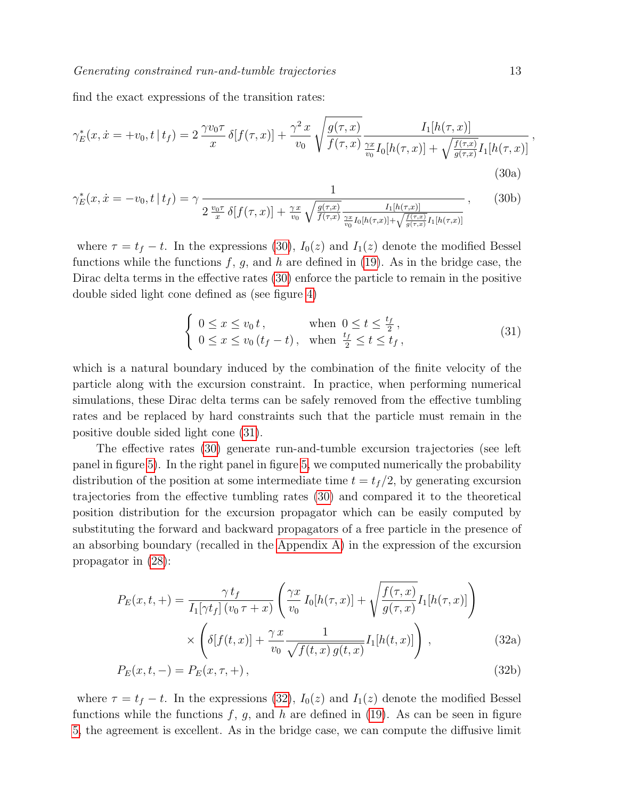find the exact expressions of the transition rates:

$$
\gamma_E^*(x, \dot{x} = +v_0, t \mid t_f) = 2 \frac{\gamma v_0 \tau}{x} \delta[f(\tau, x)] + \frac{\gamma^2 x}{v_0} \sqrt{\frac{g(\tau, x)}{f(\tau, x)} \frac{I_1[h(\tau, x)]}{\frac{\gamma x}{v_0} I_0[h(\tau, x)] + \sqrt{\frac{f(\tau, x)}{g(\tau, x)}} I_1[h(\tau, x)]}}
$$
(30a)

$$
\gamma_E^*(x, \dot{x} = -v_0, t \mid t_f) = \gamma \frac{1}{2 \frac{v_0 \tau}{x} \delta[f(\tau, x)] + \frac{\gamma x}{v_0} \sqrt{\frac{g(\tau, x)}{f(\tau, x)} \frac{I_1[h(\tau, x)]}{\frac{\gamma x}{v_0} I_0[h(\tau, x)] + \sqrt{\frac{f(\tau, x)}{g(\tau, x)}} I_1[h(\tau, x)]}}\,,\tag{30b}
$$

where  $\tau = t_f - t$ . In the expressions [\(30\)](#page-12-0),  $I_0(z)$  and  $I_1(z)$  denote the modified Bessel functions while the functions  $f, g$ , and h are defined in [\(19\)](#page-8-2). As in the bridge case, the Dirac delta terms in the effective rates [\(30\)](#page-12-0) enforce the particle to remain in the positive double sided light cone defined as (see figure [4\)](#page-11-0)

$$
\begin{cases} 0 \le x \le v_0 t, & \text{when } 0 \le t \le \frac{t_f}{2}, \\ 0 \le x \le v_0 (t_f - t), & \text{when } \frac{t_f}{2} \le t \le t_f, \end{cases}
$$
\n(31)

which is a natural boundary induced by the combination of the finite velocity of the particle along with the excursion constraint. In practice, when performing numerical simulations, these Dirac delta terms can be safely removed from the effective tumbling rates and be replaced by hard constraints such that the particle must remain in the positive double sided light cone [\(31\)](#page-12-1).

The effective rates [\(30\)](#page-12-0) generate run-and-tumble excursion trajectories (see left panel in figure [5\)](#page-13-1). In the right panel in figure [5,](#page-13-1) we computed numerically the probability distribution of the position at some intermediate time  $t = t_f/2$ , by generating excursion trajectories from the effective tumbling rates [\(30\)](#page-12-0) and compared it to the theoretical position distribution for the excursion propagator which can be easily computed by substituting the forward and backward propagators of a free particle in the presence of an absorbing boundary (recalled in the [Appendix A\)](#page-17-0) in the expression of the excursion propagator in [\(28\)](#page-11-1):

$$
P_E(x,t,+)=\frac{\gamma t_f}{I_1[\gamma t_f](v_0\tau+x)}\left(\frac{\gamma x}{v_0}I_0[h(\tau,x)]+\sqrt{\frac{f(\tau,x)}{g(\tau,x)}}I_1[h(\tau,x)]\right)
$$

$$
\times\left(\delta[f(t,x)]+\frac{\gamma x}{v_0}\frac{1}{\sqrt{f(t,x)}g(t,x)}I_1[h(t,x)]\right),\qquad(32a)
$$

<span id="page-12-2"></span>
$$
P_E(x, t, -) = P_E(x, \tau, +), \qquad (32b)
$$

where  $\tau = t_f - t$ . In the expressions [\(32\)](#page-12-2),  $I_0(z)$  and  $I_1(z)$  denote the modified Bessel functions while the functions  $f, g$ , and h are defined in [\(19\)](#page-8-2). As can be seen in figure [5,](#page-13-1) the agreement is excellent. As in the bridge case, we can compute the diffusive limit <span id="page-12-1"></span><span id="page-12-0"></span>,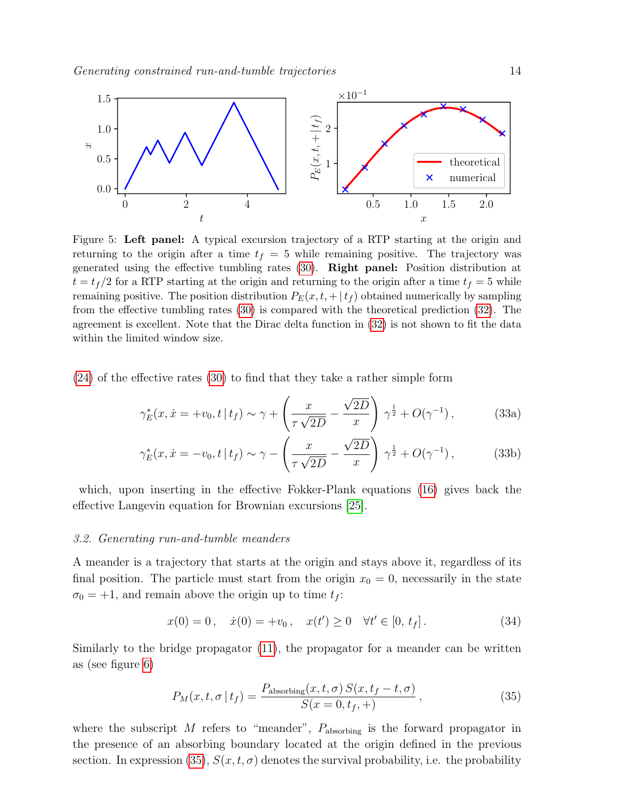<span id="page-13-1"></span>

Figure 5: Left panel: A typical excursion trajectory of a RTP starting at the origin and returning to the origin after a time  $t_f = 5$  while remaining positive. The trajectory was generated using the effective tumbling rates [\(30\)](#page-12-0). Right panel: Position distribution at  $t = t_f/2$  for a RTP starting at the origin and returning to the origin after a time  $t_f = 5$  while remaining positive. The position distribution  $P_E(x, t, + |t_f)$  obtained numerically by sampling from the effective tumbling rates [\(30\)](#page-12-0) is compared with the theoretical prediction [\(32\)](#page-12-2). The agreement is excellent. Note that the Dirac delta function in [\(32\)](#page-12-2) is not shown to fit the data within the limited window size.

[\(24\)](#page-9-2) of the effective rates [\(30\)](#page-12-0) to find that they take a rather simple form

$$
\gamma_E^*(x, \dot{x} = +v_0, t \mid t_f) \sim \gamma + \left(\frac{x}{\tau \sqrt{2D}} - \frac{\sqrt{2D}}{x}\right) \gamma^{\frac{1}{2}} + O(\gamma^{-1}),\tag{33a}
$$

$$
\gamma_E^*(x, \dot{x} = -v_0, t \mid t_f) \sim \gamma - \left(\frac{x}{\tau \sqrt{2D}} - \frac{\sqrt{2D}}{x}\right) \gamma^{\frac{1}{2}} + O(\gamma^{-1}),\tag{33b}
$$

which, upon inserting in the effective Fokker-Plank equations [\(16\)](#page-7-3) gives back the effective Langevin equation for Brownian excursions [\[25\]](#page-19-10).

#### <span id="page-13-0"></span>3.2. Generating run-and-tumble meanders

A meander is a trajectory that starts at the origin and stays above it, regardless of its final position. The particle must start from the origin  $x_0 = 0$ , necessarily in the state  $\sigma_0 = +1$ , and remain above the origin up to time  $t_f$ :

$$
x(0) = 0, \quad \dot{x}(0) = +v_0, \quad x(t') \ge 0 \quad \forall t' \in [0, t_f]. \tag{34}
$$

Similarly to the bridge propagator [\(11\)](#page-6-1), the propagator for a meander can be written as (see figure [6\)](#page-14-0)

<span id="page-13-2"></span>
$$
P_M(x, t, \sigma | t_f) = \frac{P_{\text{absorbing}}(x, t, \sigma) S(x, t_f - t, \sigma)}{S(x = 0, t_f, +)},
$$
\n(35)

where the subscript  $M$  refers to "meander",  $P_{\text{absorbing}}$  is the forward propagator in the presence of an absorbing boundary located at the origin defined in the previous section. In expression [\(35\)](#page-13-2),  $S(x, t, \sigma)$  denotes the survival probability, i.e. the probability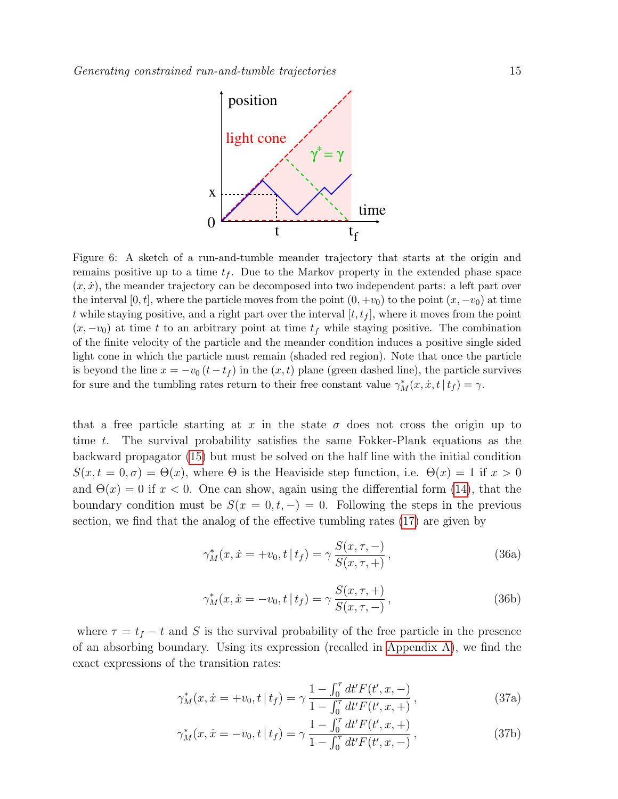<span id="page-14-0"></span>

Figure 6: A sketch of a run-and-tumble meander trajectory that starts at the origin and remains positive up to a time  $t_f$ . Due to the Markov property in the extended phase space  $(x, \dot{x})$ , the meander trajectory can be decomposed into two independent parts: a left part over the interval [0, t], where the particle moves from the point  $(0, +v_0)$  to the point  $(x, -v_0)$  at time t while staying positive, and a right part over the interval  $[t, t_f]$ , where it moves from the point  $(x, -v_0)$  at time t to an arbitrary point at time  $t_f$  while staying positive. The combination of the finite velocity of the particle and the meander condition induces a positive single sided light cone in which the particle must remain (shaded red region). Note that once the particle is beyond the line  $x = -v_0(t - t_f)$  in the  $(x, t)$  plane (green dashed line), the particle survives for sure and the tumbling rates return to their free constant value  $\gamma_M^*(x, \dot{x}, t | t_f) = \gamma$ .

that a free particle starting at x in the state  $\sigma$  does not cross the origin up to time t. The survival probability satisfies the same Fokker-Plank equations as the backward propagator [\(15\)](#page-7-2) but must be solved on the half line with the initial condition  $S(x, t = 0, \sigma) = \Theta(x)$ , where  $\Theta$  is the Heaviside step function, i.e.  $\Theta(x) = 1$  if  $x > 0$ and  $\Theta(x) = 0$  if  $x < 0$ . One can show, again using the differential form [\(14\)](#page-7-4), that the boundary condition must be  $S(x = 0, t, -) = 0$ . Following the steps in the previous section, we find that the analog of the effective tumbling rates [\(17\)](#page-7-5) are given by

$$
\gamma_M^*(x, \dot{x} = +v_0, t \mid t_f) = \gamma \frac{S(x, \tau, -)}{S(x, \tau, +)},
$$
\n(36a)

$$
\gamma_M^*(x, \dot{x} = -v_0, t | t_f) = \gamma \frac{S(x, \tau, +)}{S(x, \tau, -)},
$$
\n(36b)

where  $\tau = t_f - t$  and S is the survival probability of the free particle in the presence of an absorbing boundary. Using its expression (recalled in [Appendix A\)](#page-17-0), we find the exact expressions of the transition rates:

$$
\gamma_M^*(x, \dot{x} = +v_0, t \mid t_f) = \gamma \frac{1 - \int_0^{\tau} dt' F(t', x, -)}{1 - \int_0^{\tau} dt' F(t', x, +)},
$$
\n(37a)

<span id="page-14-1"></span>
$$
\gamma_M^*(x, \dot{x} = -v_0, t \mid t_f) = \gamma \frac{1 - \int_0^{\tau} dt' F(t', x, +)}{1 - \int_0^{\tau} dt' F(t', x, -)},
$$
\n(37b)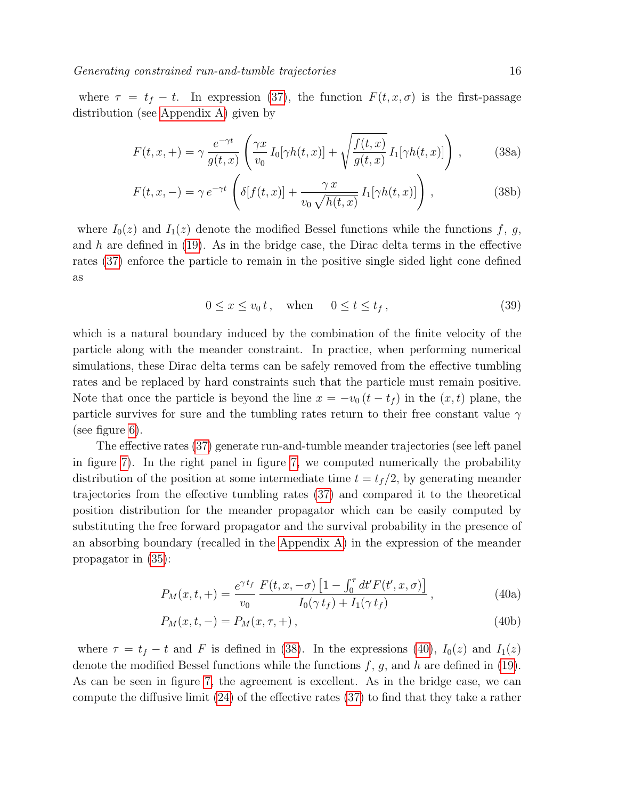where  $\tau = t_f - t$ . In expression [\(37\)](#page-14-1), the function  $F(t, x, \sigma)$  is the first-passage distribution (see [Appendix A\)](#page-17-0) given by

$$
F(t,x,+)=\gamma\frac{e^{-\gamma t}}{g(t,x)}\left(\frac{\gamma x}{v_0}I_0[\gamma h(t,x)]+\sqrt{\frac{f(t,x)}{g(t,x)}}I_1[\gamma h(t,x)]\right),\qquad(38a)
$$

$$
F(t, x, -) = \gamma e^{-\gamma t} \left( \delta[f(t, x)] + \frac{\gamma x}{v_0 \sqrt{h(t, x)}} I_1[\gamma h(t, x)] \right), \qquad (38b)
$$

where  $I_0(z)$  and  $I_1(z)$  denote the modified Bessel functions while the functions f, g, and  $h$  are defined in [\(19\)](#page-8-2). As in the bridge case, the Dirac delta terms in the effective rates [\(37\)](#page-14-1) enforce the particle to remain in the positive single sided light cone defined as

<span id="page-15-0"></span>
$$
0 \le x \le v_0 t, \quad \text{when} \quad 0 \le t \le t_f,
$$
\n
$$
(39)
$$

which is a natural boundary induced by the combination of the finite velocity of the particle along with the meander constraint. In practice, when performing numerical simulations, these Dirac delta terms can be safely removed from the effective tumbling rates and be replaced by hard constraints such that the particle must remain positive. Note that once the particle is beyond the line  $x = -v_0 (t - t_f)$  in the  $(x, t)$  plane, the particle survives for sure and the tumbling rates return to their free constant value  $\gamma$ (see figure [6\)](#page-14-0).

The effective rates [\(37\)](#page-14-1) generate run-and-tumble meander trajectories (see left panel in figure [7\)](#page-16-1). In the right panel in figure [7,](#page-16-1) we computed numerically the probability distribution of the position at some intermediate time  $t = t_f/2$ , by generating meander trajectories from the effective tumbling rates [\(37\)](#page-14-1) and compared it to the theoretical position distribution for the meander propagator which can be easily computed by substituting the free forward propagator and the survival probability in the presence of an absorbing boundary (recalled in the [Appendix A\)](#page-17-0) in the expression of the meander propagator in [\(35\)](#page-13-2):

$$
P_M(x,t,+) = \frac{e^{\gamma t_f}}{v_0} \frac{F(t,x,-\sigma) \left[1 - \int_0^{\tau} dt' F(t',x,\sigma)\right]}{I_0(\gamma t_f) + I_1(\gamma t_f)},
$$
(40a)

<span id="page-15-1"></span>
$$
P_M(x, t, -) = P_M(x, \tau, +), \qquad (40b)
$$

where  $\tau = t_f - t$  and F is defined in [\(38\)](#page-15-0). In the expressions [\(40\)](#page-15-1),  $I_0(z)$  and  $I_1(z)$ denote the modified Bessel functions while the functions  $f, g$ , and h are defined in [\(19\)](#page-8-2). As can be seen in figure [7,](#page-16-1) the agreement is excellent. As in the bridge case, we can compute the diffusive limit [\(24\)](#page-9-2) of the effective rates [\(37\)](#page-14-1) to find that they take a rather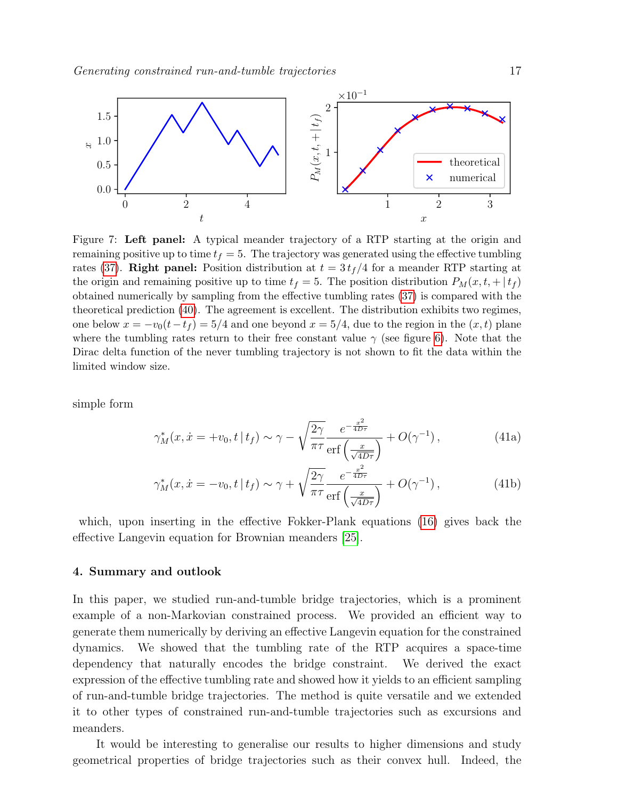<span id="page-16-1"></span>

Figure 7: Left panel: A typical meander trajectory of a RTP starting at the origin and remaining positive up to time  $t_f = 5$ . The trajectory was generated using the effective tumbling rates [\(37\)](#page-14-1). Right panel: Position distribution at  $t = 3 t_f/4$  for a meander RTP starting at the origin and remaining positive up to time  $t_f = 5$ . The position distribution  $P_M(x, t, + |t_f)$ obtained numerically by sampling from the effective tumbling rates [\(37\)](#page-14-1) is compared with the theoretical prediction [\(40\)](#page-15-1). The agreement is excellent. The distribution exhibits two regimes, one below  $x = -v_0(t-t_f) = 5/4$  and one beyond  $x = 5/4$ , due to the region in the  $(x, t)$  plane where the tumbling rates return to their free constant value  $\gamma$  (see figure [6\)](#page-14-0). Note that the Dirac delta function of the never tumbling trajectory is not shown to fit the data within the limited window size.

simple form

$$
\gamma_M^*(x, \dot{x} = +v_0, t \mid t_f) \sim \gamma - \sqrt{\frac{2\gamma}{\pi \tau}} \frac{e^{-\frac{x^2}{4D\tau}}}{\text{erf}\left(\frac{x}{\sqrt{4D\tau}}\right)} + O(\gamma^{-1}),\tag{41a}
$$

$$
\gamma_M^*(x, \dot{x} = -v_0, t \mid t_f) \sim \gamma + \sqrt{\frac{2\gamma}{\pi \tau}} \frac{e^{-\frac{x^2}{4D\tau}}}{\text{erf}\left(\frac{x}{\sqrt{4D\tau}}\right)} + O(\gamma^{-1}),\tag{41b}
$$

which, upon inserting in the effective Fokker-Plank equations [\(16\)](#page-7-3) gives back the effective Langevin equation for Brownian meanders [\[25\]](#page-19-10).

## <span id="page-16-0"></span>4. Summary and outlook

In this paper, we studied run-and-tumble bridge trajectories, which is a prominent example of a non-Markovian constrained process. We provided an efficient way to generate them numerically by deriving an effective Langevin equation for the constrained dynamics. We showed that the tumbling rate of the RTP acquires a space-time dependency that naturally encodes the bridge constraint. We derived the exact expression of the effective tumbling rate and showed how it yields to an efficient sampling of run-and-tumble bridge trajectories. The method is quite versatile and we extended it to other types of constrained run-and-tumble trajectories such as excursions and meanders.

It would be interesting to generalise our results to higher dimensions and study geometrical properties of bridge trajectories such as their convex hull. Indeed, the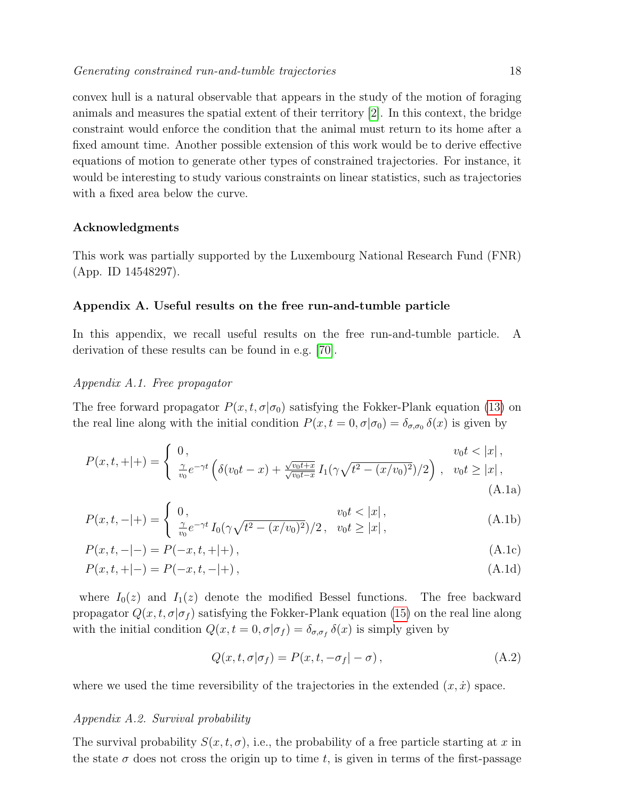convex hull is a natural observable that appears in the study of the motion of foraging animals and measures the spatial extent of their territory [\[2\]](#page-19-25). In this context, the bridge constraint would enforce the condition that the animal must return to its home after a fixed amount time. Another possible extension of this work would be to derive effective equations of motion to generate other types of constrained trajectories. For instance, it would be interesting to study various constraints on linear statistics, such as trajectories with a fixed area below the curve.

## Acknowledgments

This work was partially supported by the Luxembourg National Research Fund (FNR) (App. ID 14548297).

## <span id="page-17-0"></span>Appendix A. Useful results on the free run-and-tumble particle

In this appendix, we recall useful results on the free run-and-tumble particle. A derivation of these results can be found in e.g. [\[70\]](#page-20-6).

## Appendix A.1. Free propagator

The free forward propagator  $P(x, t, \sigma | \sigma_0)$  satisfying the Fokker-Plank equation [\(13\)](#page-7-1) on the real line along with the initial condition  $P(x,t=0,\sigma|\sigma_0)=\delta_{\sigma,\sigma_0}\delta(x)$  is given by

$$
P(x,t,+|+)=\begin{cases} 0, & v_0t<|x|, \\ \frac{\gamma}{v_0}e^{-\gamma t} \left( \delta(v_0t-x)+\frac{\sqrt{v_0t+x}}{\sqrt{v_0t-x}} I_1(\gamma \sqrt{t^2-(x/v_0)^2})/2 \right), & v_0t\geq |x|, \\ (A.1a) \end{cases}
$$

$$
P(x,t,-|+)=\begin{cases} 0, & v_0t<|x|, \\ \frac{\gamma}{v_0}e^{-\gamma t}I_0(\gamma\sqrt{t^2-(x/v_0)^2})/2, & v_0t\geq |x|, \end{cases}
$$
(A.1b)

$$
P(x,t,-|-) = P(-x,t,+|+),
$$
\n(A.1c)

$$
P(x,t,+|-) = P(-x,t,-|+),
$$
\n(A.1d)

where  $I_0(z)$  and  $I_1(z)$  denote the modified Bessel functions. The free backward propagator  $Q(x, t, \sigma | \sigma_f)$  satisfying the Fokker-Plank equation [\(15\)](#page-7-2) on the real line along with the initial condition  $Q(x, t = 0, \sigma | \sigma_f) = \delta_{\sigma, \sigma_f} \delta(x)$  is simply given by

$$
Q(x, t, \sigma | \sigma_f) = P(x, t, -\sigma_f | -\sigma), \qquad (A.2)
$$

where we used the time reversibility of the trajectories in the extended  $(x, \dot{x})$  space.

#### Appendix A.2. Survival probability

The survival probability  $S(x, t, \sigma)$ , i.e., the probability of a free particle starting at x in the state  $\sigma$  does not cross the origin up to time t, is given in terms of the first-passage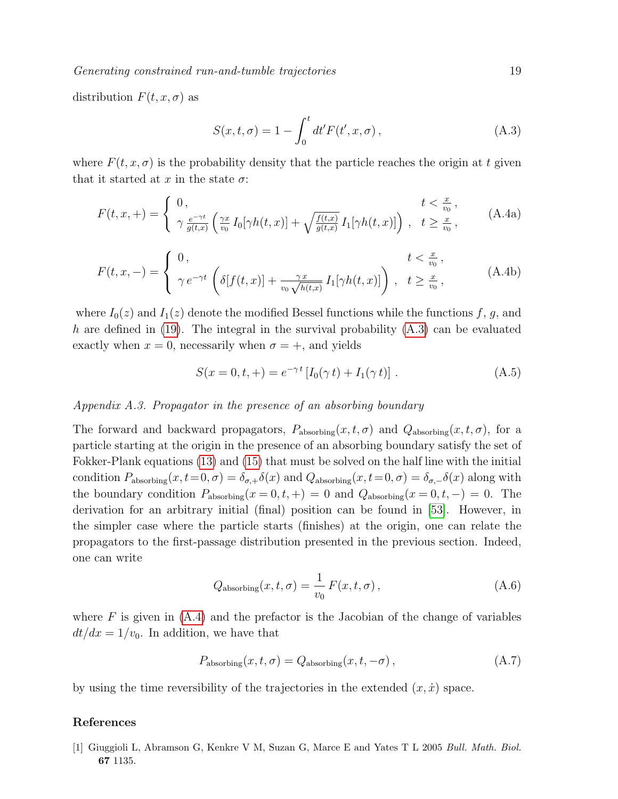Generating constrained run-and-tumble trajectories 19

distribution  $F(t, x, \sigma)$  as

<span id="page-18-2"></span><span id="page-18-1"></span>
$$
S(x,t,\sigma) = 1 - \int_0^t dt' F(t',x,\sigma), \qquad (A.3)
$$

where  $F(t, x, \sigma)$  is the probability density that the particle reaches the origin at t given that it started at x in the state  $\sigma$ :

$$
F(t,x,+)=\begin{cases} 0, & t<\frac{x}{v_0},\\ \gamma \frac{e^{-\gamma t}}{g(t,x)}\left(\frac{\gamma x}{v_0}I_0[\gamma h(t,x)]+\sqrt{\frac{f(t,x)}{g(t,x)}}I_1[\gamma h(t,x)]\right), & t\geq \frac{x}{v_0}, \end{cases}
$$
(A.4a)

$$
F(t, x, -) = \begin{cases} 0, & t < \frac{x}{v_0}, \\ \gamma e^{-\gamma t} \left( \delta[f(t, x)] + \frac{\gamma x}{v_0 \sqrt{h(t, x)}} I_1[\gamma h(t, x)] \right), & t \ge \frac{x}{v_0}, \end{cases}
$$
(A.4b)

where  $I_0(z)$  and  $I_1(z)$  denote the modified Bessel functions while the functions f, g, and h are defined in  $(19)$ . The integral in the survival probability  $(A.3)$  can be evaluated exactly when  $x = 0$ , necessarily when  $\sigma = +$ , and yields

$$
S(x = 0, t, +) = e^{-\gamma t} [I_0(\gamma t) + I_1(\gamma t)].
$$
\n(A.5)

## Appendix A.3. Propagator in the presence of an absorbing boundary

The forward and backward propagators,  $P_{\text{absorbing}}(x, t, \sigma)$  and  $Q_{\text{absorbing}}(x, t, \sigma)$ , for a particle starting at the origin in the presence of an absorbing boundary satisfy the set of Fokker-Plank equations [\(13\)](#page-7-1) and [\(15\)](#page-7-2) that must be solved on the half line with the initial condition  $P_{\text{absorbing}}(x, t=0, \sigma) = \delta_{\sigma,+} \delta(x)$  and  $Q_{\text{absorbing}}(x, t=0, \sigma) = \delta_{\sigma,-} \delta(x)$  along with the boundary condition  $P_{\text{absorbing}}(x=0,t,+) = 0$  and  $Q_{\text{absorbing}}(x=0,t,-) = 0$ . The derivation for an arbitrary initial (final) position can be found in [\[53\]](#page-20-3). However, in the simpler case where the particle starts (finishes) at the origin, one can relate the propagators to the first-passage distribution presented in the previous section. Indeed, one can write

$$
Q_{\text{absorbing}}(x, t, \sigma) = \frac{1}{v_0} F(x, t, \sigma), \qquad (A.6)
$$

where  $F$  is given in  $(A.4)$  and the prefactor is the Jacobian of the change of variables  $dt/dx = 1/v_0$ . In addition, we have that

$$
P_{\text{absorbing}}(x, t, \sigma) = Q_{\text{absorbing}}(x, t, -\sigma), \qquad (A.7)
$$

by using the time reversibility of the trajectories in the extended  $(x, \dot{x})$  space.

## References

<span id="page-18-0"></span>[1] Giuggioli L, Abramson G, Kenkre V M, Suzan G, Marce E and Yates T L 2005 Bull. Math. Biol. 67 1135.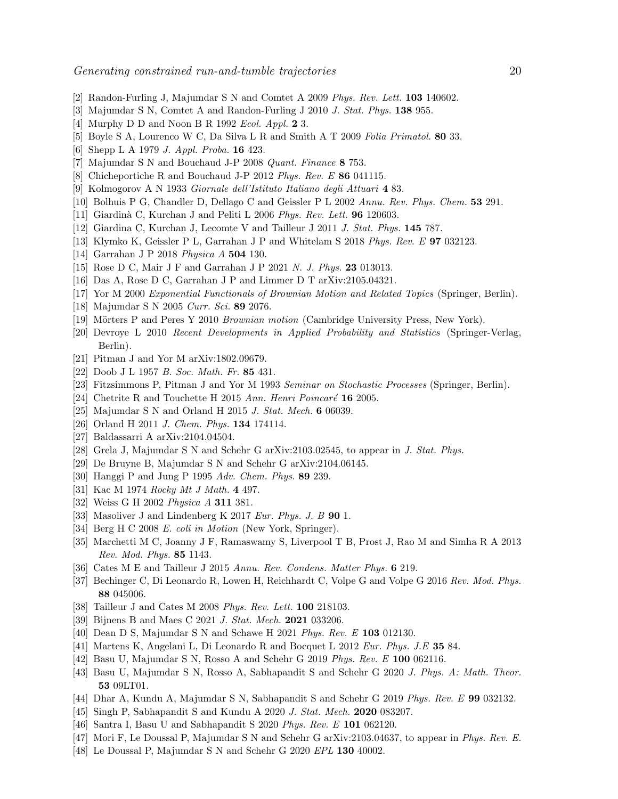- <span id="page-19-25"></span>[2] Randon-Furling J, Majumdar S N and Comtet A 2009 Phys. Rev. Lett. 103 140602.
- [3] Majumdar S N, Comtet A and Randon-Furling J 2010 J. Stat. Phys. 138 955.
- [4] Murphy D D and Noon B R 1992 Ecol. Appl. 2 3.
- <span id="page-19-0"></span>[5] Boyle S A, Lourenco W C, Da Silva L R and Smith A T 2009 Folia Primatol. 80 33.
- <span id="page-19-1"></span>[6] Shepp L A 1979 J. Appl. Proba. 16 423.
- <span id="page-19-2"></span>[7] Majumdar S N and Bouchaud J-P 2008 Quant. Finance 8 753.
- <span id="page-19-3"></span>[8] Chicheportiche R and Bouchaud J-P 2012 Phys. Rev. E 86 041115.
- <span id="page-19-4"></span>[9] Kolmogorov A N 1933 Giornale dell'Istituto Italiano degli Attuari 4 83.
- <span id="page-19-5"></span>[10] Bolhuis P G, Chandler D, Dellago C and Geissler P L 2002 Annu. Rev. Phys. Chem. 53 291.
- [11] Giardinà C, Kurchan J and Peliti L 2006 Phys. Rev. Lett. **96** 120603.
- [12] Giardina C, Kurchan J, Lecomte V and Tailleur J 2011 J. Stat. Phys. 145 787.
- [13] Klymko K, Geissler P L, Garrahan J P and Whitelam S 2018 Phys. Rev. E 97 032123.
- [14] Garrahan J P 2018 Physica A 504 130.
- [15] Rose D C, Mair J F and Garrahan J P 2021 N. J. Phys. 23 013013.
- <span id="page-19-6"></span>[16] Das A, Rose D C, Garrahan J P and Limmer D T arXiv:2105.04321.
- <span id="page-19-7"></span>[17] Yor M 2000 Exponential Functionals of Brownian Motion and Related Topics (Springer, Berlin).
- [18] Majumdar S N 2005 Curr. Sci. 89 2076.
- [19] Mörters P and Peres Y 2010 Brownian motion (Cambridge University Press, New York).
- [20] Devroye L 2010 Recent Developments in Applied Probability and Statistics (Springer-Verlag, Berlin).
- <span id="page-19-8"></span>[21] Pitman J and Yor M arXiv:1802.09679.
- <span id="page-19-9"></span>[22] Doob J L 1957 B. Soc. Math. Fr. 85 431.
- [23] Fitzsimmons P, Pitman J and Yor M 1993 Seminar on Stochastic Processes (Springer, Berlin).
- <span id="page-19-11"></span>[24] Chetrite R and Touchette H 2015 Ann. Henri Poincaré  $16$  2005.
- <span id="page-19-10"></span>[25] Majumdar S N and Orland H 2015 J. Stat. Mech. 6 06039.
- [26] Orland H 2011 J. Chem. Phys. 134 174114.
- [27] Baldassarri A arXiv:2104.04504.
- <span id="page-19-12"></span>[28] Grela J, Majumdar S N and Schehr G arXiv:2103.02545, to appear in J. Stat. Phys.
- <span id="page-19-13"></span>[29] De Bruyne B, Majumdar S N and Schehr G arXiv:2104.06145.
- <span id="page-19-14"></span>[30] Hanggi P and Jung P 1995 Adv. Chem. Phys. 89 239.
- <span id="page-19-15"></span>[31] Kac M 1974 Rocky Mt J Math. 4 497.
- [32] Weiss G H 2002 *Physica A* **311** 381.
- <span id="page-19-16"></span>[33] Masoliver J and Lindenberg K 2017 Eur. Phys. J. B 90 1.
- <span id="page-19-17"></span>[34] Berg H C 2008 E. coli in Motion (New York, Springer).
- [35] Marchetti M C, Joanny J F, Ramaswamy S, Liverpool T B, Prost J, Rao M and Simha R A 2013 Rev. Mod. Phys. 85 1143.
- <span id="page-19-18"></span>[36] Cates M E and Tailleur J 2015 Annu. Rev. Condens. Matter Phys. 6 219.
- [37] Bechinger C, Di Leonardo R, Lowen H, Reichhardt C, Volpe G and Volpe G 2016 Rev. Mod. Phys. 88 045006.
- <span id="page-19-19"></span>[38] Tailleur J and Cates M 2008 Phys. Rev. Lett. **100** 218103.
- <span id="page-19-20"></span>[39] Bijnens B and Maes C 2021 J. Stat. Mech. **2021** 033206.
- [40] Dean D S, Majumdar S N and Schawe H 2021 Phys. Rev. E 103 012130.
- [41] Martens K, Angelani L, Di Leonardo R and Bocquet L 2012 Eur. Phys. J.E 35 84.
- [42] Basu U, Majumdar S N, Rosso A and Schehr G 2019 Phys. Rev. E 100 062116.
- [43] Basu U, Majumdar S N, Rosso A, Sabhapandit S and Schehr G 2020 J. Phys. A: Math. Theor. 53 09LT01.
- [44] Dhar A, Kundu A, Majumdar S N, Sabhapandit S and Schehr G 2019 Phys. Rev. E 99 032132.
- <span id="page-19-24"></span>[45] Singh P, Sabhapandit S and Kundu A 2020 J. Stat. Mech. **2020** 083207.
- <span id="page-19-21"></span>[46] Santra I, Basu U and Sabhapandit S 2020 Phys. Rev. E 101 062120.
- <span id="page-19-22"></span>[47] Mori F, Le Doussal P, Majumdar S N and Schehr G arXiv:2103.04637, to appear in Phys. Rev. E.
- <span id="page-19-23"></span>[48] Le Doussal P, Majumdar S N and Schehr G 2020 EPL 130 40002.